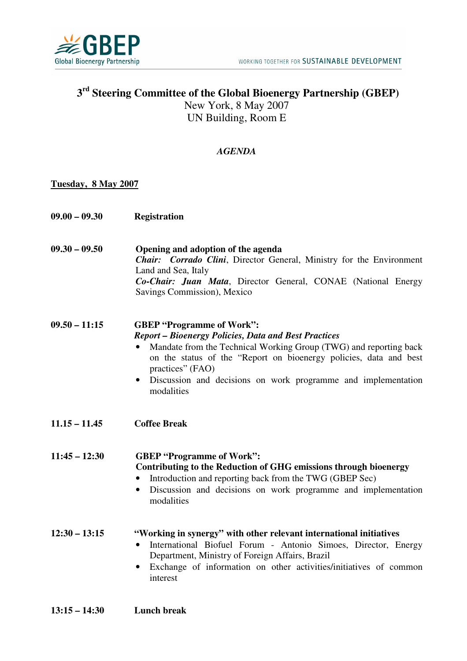

# **3 rd Steering Committee of the Global Bioenergy Partnership (GBEP)**  New York, 8 May 2007 UN Building, Room E

## *AGENDA*

#### **Tuesday, 8 May 2007**

| $09.00 - 09.30$ | <b>Registration</b> |
|-----------------|---------------------|
|-----------------|---------------------|

**09.30 – 09.50 Opening and adoption of the agenda**  *Chair: Corrado Clini*, Director General, Ministry for the Environment Land and Sea, Italy *Co-Chair: Juan Mata*, Director General, CONAE (National Energy Savings Commission), Mexico

#### **09.50 – 11:15 GBEP "Programme of Work":**  *Report – Bioenergy Policies, Data and Best Practices*

- Mandate from the Technical Working Group (TWG) and reporting back on the status of the "Report on bioenergy policies, data and best practices" (FAO)
- Discussion and decisions on work programme and implementation modalities
- **11.15 11.45 Coffee Break**

**11:45 – 12:30 GBEP "Programme of Work": Contributing to the Reduction of GHG emissions through bioenergy**  • Introduction and reporting back from the TWG (GBEP Sec)

> • Discussion and decisions on work programme and implementation modalities

### **12:30 – 13:15 "Working in synergy" with other relevant international initiatives**

- International Biofuel Forum Antonio Simoes, Director, Energy Department, Ministry of Foreign Affairs, Brazil
- Exchange of information on other activities/initiatives of common interest